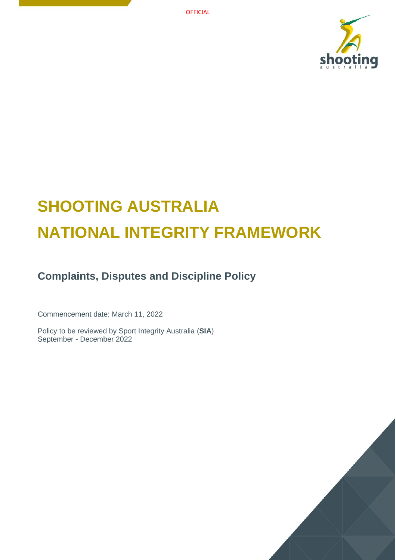

# **SHOOTING AUSTRALIA NATIONAL INTEGRITY FRAMEWORK**

**Complaints, Disputes and Discipline Policy**

Commencement date: March 11, 2022

Policy to be reviewed by Sport Integrity Australia (**SIA**) September - December 2022

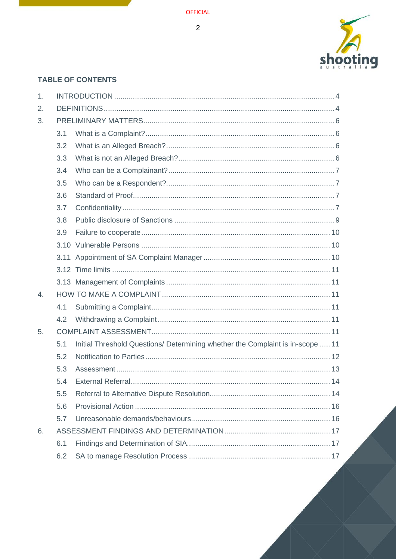$\overline{2}$ 



# **TABLE OF CONTENTS**

| 1. |     |                                                                                |  |  |
|----|-----|--------------------------------------------------------------------------------|--|--|
| 2. |     |                                                                                |  |  |
| 3. |     |                                                                                |  |  |
|    | 3.1 |                                                                                |  |  |
|    | 3.2 |                                                                                |  |  |
|    | 3.3 |                                                                                |  |  |
|    | 3.4 |                                                                                |  |  |
|    | 3.5 |                                                                                |  |  |
|    | 3.6 |                                                                                |  |  |
|    | 3.7 |                                                                                |  |  |
|    | 3.8 |                                                                                |  |  |
|    | 3.9 |                                                                                |  |  |
|    |     |                                                                                |  |  |
|    |     |                                                                                |  |  |
|    |     |                                                                                |  |  |
|    |     |                                                                                |  |  |
| 4. |     |                                                                                |  |  |
|    | 4.1 |                                                                                |  |  |
|    | 4.2 |                                                                                |  |  |
| 5. |     |                                                                                |  |  |
|    | 5.1 | Initial Threshold Questions/ Determining whether the Complaint is in-scope  11 |  |  |
|    | 5.2 |                                                                                |  |  |
|    | 5.3 |                                                                                |  |  |
|    | 5.4 |                                                                                |  |  |
|    | 5.5 |                                                                                |  |  |
|    | 5.6 |                                                                                |  |  |
|    | 5.7 |                                                                                |  |  |
| 6. |     |                                                                                |  |  |
|    | 6.1 |                                                                                |  |  |
|    | 6.2 |                                                                                |  |  |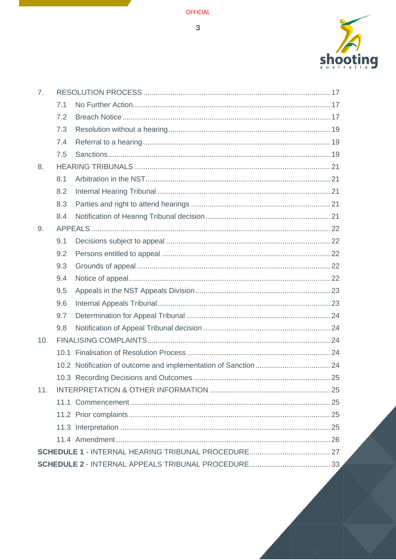$\overline{3}$ 



| 7 <sub>1</sub> |     |  |  |  |  |
|----------------|-----|--|--|--|--|
|                | 7.1 |  |  |  |  |
|                | 7.2 |  |  |  |  |
|                | 7.3 |  |  |  |  |
|                | 7.4 |  |  |  |  |
|                | 7.5 |  |  |  |  |
| 8.             |     |  |  |  |  |
|                | 8.1 |  |  |  |  |
|                | 8.2 |  |  |  |  |
|                | 8.3 |  |  |  |  |
|                | 8.4 |  |  |  |  |
| 9.             |     |  |  |  |  |
|                | 9.1 |  |  |  |  |
|                | 9.2 |  |  |  |  |
|                | 9.3 |  |  |  |  |
|                | 9.4 |  |  |  |  |
|                | 9.5 |  |  |  |  |
|                | 9.6 |  |  |  |  |
|                | 9.7 |  |  |  |  |
|                | 9.8 |  |  |  |  |
| 10.            |     |  |  |  |  |
|                |     |  |  |  |  |
|                |     |  |  |  |  |
|                |     |  |  |  |  |
| 11.            |     |  |  |  |  |
|                |     |  |  |  |  |
|                |     |  |  |  |  |
|                |     |  |  |  |  |
|                |     |  |  |  |  |
|                |     |  |  |  |  |
|                |     |  |  |  |  |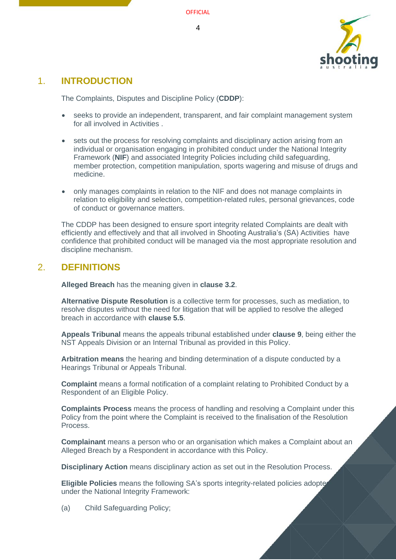

# <span id="page-3-0"></span>1. **INTRODUCTION**

The Complaints, Disputes and Discipline Policy (**CDDP**):

- seeks to provide an independent, transparent, and fair complaint management system for all involved in Activities .
- sets out the process for resolving complaints and disciplinary action arising from an individual or organisation engaging in prohibited conduct under the National Integrity Framework (**NIF**) and associated Integrity Policies including child safeguarding, member protection, competition manipulation, sports wagering and misuse of drugs and medicine.
- only manages complaints in relation to the NIF and does not manage complaints in relation to eligibility and selection, competition-related rules, personal grievances, code of conduct or governance matters.

The CDDP has been designed to ensure sport integrity related Complaints are dealt with efficiently and effectively and that all involved in Shooting Australia's (SA) Activities have confidence that prohibited conduct will be managed via the most appropriate resolution and discipline mechanism.

# <span id="page-3-1"></span>2. **DEFINITIONS**

**Alleged Breach** has the meaning given in **clause [3.2](#page-5-2)**.

**Alternative Dispute Resolution** is a collective term for processes, such as mediation, to resolve disputes without the need for litigation that will be applied to resolve the alleged breach in accordance with **clause [5.5](#page-13-1)**.

**Appeals Tribunal** means the appeals tribunal established under **clause 9**[, b](#page-21-0)eing either the NST Appeals Division or an Internal Tribunal as provided in this Policy.

**Arbitration means** the hearing and binding determination of a dispute conducted by a Hearings Tribunal or Appeals Tribunal.

**Complaint** means a formal notification of a complaint relating to Prohibited Conduct by a Respondent of an Eligible Policy.

**Complaints Process** means the process of handling and resolving a Complaint under this Policy from the point where the Complaint is received to the finalisation of the Resolution Process.

**Complainant** means a person who or an organisation which makes a Complaint about an Alleged Breach by a Respondent in accordance with this Policy.

**Disciplinary Action** means disciplinary action as set out in the Resolution Process.

**Eligible Policies** means the following SA's sports integrity-related policies adopted under the National Integrity Framework:

(a) Child Safeguarding Policy;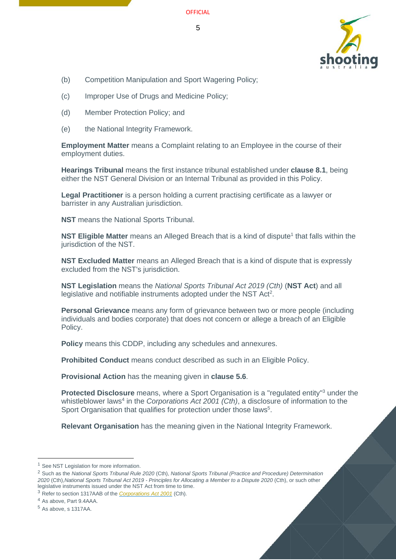



- (b) Competition Manipulation and Sport Wagering Policy;
- (c) Improper Use of Drugs and Medicine Policy;
- (d) Member Protection Policy; and
- (e) the National Integrity Framework.

**Employment Matter** means a Complaint relating to an Employee in the course of their employment duties.

**Hearings Tribunal** means the first instance tribunal established under **clause [8.1](#page-20-1)**, being either the NST General Division or an Internal Tribunal as provided in this Policy.

**Legal Practitioner** is a person holding a current practising certificate as a lawyer or barrister in any Australian jurisdiction.

**NST** means the National Sports Tribunal.

**NST Eligible Matter** means an Alleged Breach that is a kind of dispute<sup>1</sup> that falls within the jurisdiction of the NST.

**NST Excluded Matter** means an Alleged Breach that is a kind of dispute that is expressly excluded from the NST's jurisdiction.

**NST Legislation** means the *National Sports Tribunal Act 2019 (Cth)* (**NST Act**) and all legislative and notifiable instruments adopted under the NST Act<sup>2</sup>.

**Personal Grievance** means any form of grievance between two or more people (including individuals and bodies corporate) that does not concern or allege a breach of an Eligible Policy.

**Policy** means this CDDP, including any schedules and annexures.

**Prohibited Conduct** means conduct described as such in an Eligible Policy.

**Provisional Action** has the meaning given in **clause [5.6](#page-15-0)**.

**Protected Disclosure** means, where a Sport Organisation is a "regulated entity"<sup>3</sup> under the whistleblower laws<sup>4</sup> in the *Corporations Act 2001 (Cth)*, a disclosure of information to the Sport Organisation that qualifies for protection under those laws<sup>5</sup>.

**Relevant Organisation** has the meaning given in the National Integrity Framework.

<sup>&</sup>lt;sup>1</sup> See NST Legislation for more information.

<sup>2</sup> Such as the *National Sports Tribunal Rule 2020* (Cth), *National Sports Tribunal (Practice and Procedure) Determination 2020* (Cth),*National Sports Tribunal Act 2019 - Principles for Allocating a Member to a Dispute 2020* (Cth), or such other legislative instruments issued under the NST Act from time to time.

<sup>3</sup> Refer to section 1317AAB of the *[Corporations](https://www.legislation.gov.au/Details/C2020C00093/Html/Volume_5#_Toc33706032) Act 2001* (Cth).

<sup>4</sup> As above, Part 9.4AAA.

<sup>5</sup> As above, s 1317AA.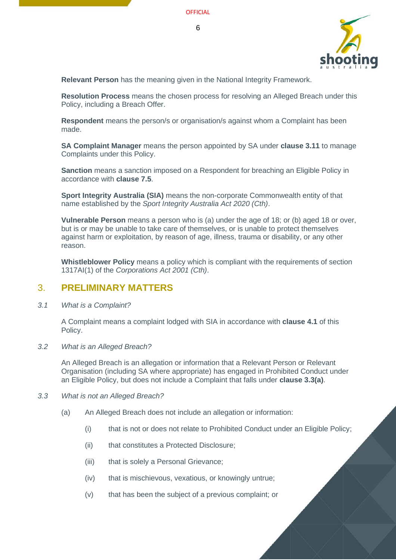



**Relevant Person** has the meaning given in the National Integrity Framework.

**Resolution Process** means the chosen process for resolving an Alleged Breach under this Policy, including a Breach Offer.

**Respondent** means the person/s or organisation/s against whom a Complaint has been made.

**SA Complaint Manager** means the person appointed by SA under **clause [3.11](#page-9-2)** to manage Complaints under this Policy.

**Sanction** means a sanction imposed on a Respondent for breaching an Eligible Policy in accordance with **clause [7.5](#page-18-2)**.

**Sport Integrity Australia (SIA)** means the non-corporate Commonwealth entity of that name established by the *Sport Integrity Australia Act 2020 (Cth)*.

**Vulnerable Person** means a person who is (a) under the age of 18; or (b) aged 18 or over, but is or may be unable to take care of themselves, or is unable to protect themselves against harm or exploitation, by reason of age, illness, trauma or disability, or any other reason.

**Whistleblower Policy** means a policy which is compliant with the requirements of section 1317AI(1) of the *Corporations Act 2001 (Cth)*.

## <span id="page-5-0"></span>3. **PRELIMINARY MATTERS**

<span id="page-5-1"></span>*3.1 What is a Complaint?*

A Complaint means a complaint lodged with SIA in accordance with **clause [4.1](#page-10-3)** of this Policy.

<span id="page-5-2"></span>*3.2 What is an Alleged Breach?*

An Alleged Breach is an allegation or information that a Relevant Person or Relevant Organisation (including SA where appropriate) has engaged in Prohibited Conduct under an Eligible Policy, but does not include a Complaint that falls under **clause [3.3\(](#page-5-3)a)**.

- <span id="page-5-4"></span><span id="page-5-3"></span>*3.3 What is not an Alleged Breach?*
	- (a) An Alleged Breach does not include an allegation or information:
		- (i) that is not or does not relate to Prohibited Conduct under an Eligible Policy;
		- (ii) that constitutes a Protected Disclosure;
		- (iii) that is solely a Personal Grievance;
		- (iv) that is mischievous, vexatious, or knowingly untrue;
		- (v) that has been the subject of a previous complaint; or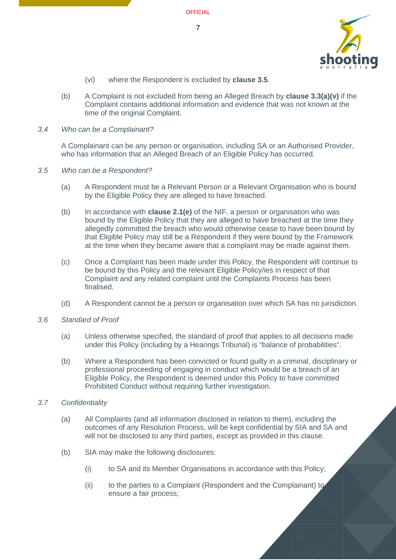

- (vi) where the Respondent is excluded by **clause [3.5](#page-6-1)**.
- (b) A Complaint is not excluded from being an Alleged Breach by **clause [3.3](#page-5-3)[\(a\)\(v\)](#page-5-4)** if the Complaint contains additional information and evidence that was not known at the time of the original Complaint.

#### <span id="page-6-0"></span>*3.4 Who can be a Complainant?*

A Complainant can be any person or organisation, including SA or an Authorised Provider, who has information that an Alleged Breach of an Eligible Policy has occurred.

- <span id="page-6-1"></span>*3.5 Who can be a Respondent?*
	- (a) A Respondent must be a Relevant Person or a Relevant Organisation who is bound by the Eligible Policy they are alleged to have breached.
	- (b) In accordance with **clause 2.1(e)** of the NIF, a person or organisation who was bound by the Eligible Policy that they are alleged to have breached at the time they allegedly committed the breach who would otherwise cease to have been bound by that Eligible Policy may still be a Respondent if they were bound by the Framework at the time when they became aware that a complaint may be made against them.
	- (c) Once a Complaint has been made under this Policy, the Respondent will continue to be bound by this Policy and the relevant Eligible Policy/ies in respect of that Complaint and any related complaint until the Complaints Process has been finalised.
	- (d) A Respondent cannot be a person or organisation over which SA has no jurisdiction.
- <span id="page-6-2"></span>*3.6 Standard of Proof*
	- (a) Unless otherwise specified, the standard of proof that applies to all decisions made under this Policy (including by a Hearings Tribunal) is "balance of probabilities".
	- (b) Where a Respondent has been convicted or found guilty in a criminal, disciplinary or professional proceeding of engaging in conduct which would be a breach of an Eligible Policy, the Respondent is deemed under this Policy to have committed Prohibited Conduct without requiring further investigation.
- <span id="page-6-3"></span>*3.7 Confidentiality*
	- (a) All Complaints (and all information disclosed in relation to them), including the outcomes of any Resolution Process, will be kept confidential by SIA and SA and will not be disclosed to any third parties, except as provided in this clause.
	- (b) SIA may make the following disclosures:
		- (i) to SA and its Member Organisations in accordance with this Policy;
		- (ii) to the parties to a Complaint (Respondent and the Complainant) to ensure a fair process;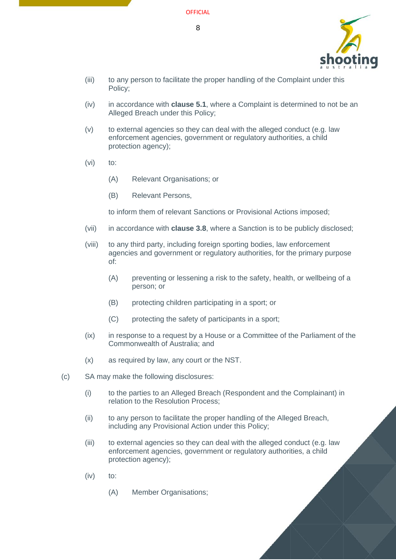

- (iii) to any person to facilitate the proper handling of the Complaint under this Policy;
- (iv) in accordance with **clause [5.1](#page-10-6)**, where a Complaint is determined to not be an Alleged Breach under this Policy;
- (v) to external agencies so they can deal with the alleged conduct (e.g. law enforcement agencies, government or regulatory authorities, a child protection agency);
- (vi) to:
	- (A) Relevant Organisations; or
	- (B) Relevant Persons,

to inform them of relevant Sanctions or Provisional Actions imposed;

- (vii) in accordance with **clause [3.8](#page-8-0)**, where a Sanction is to be publicly disclosed;
- (viii) to any third party, including foreign sporting bodies, law enforcement agencies and government or regulatory authorities, for the primary purpose of:
	- (A) preventing or lessening a risk to the safety, health, or wellbeing of a person; or
	- (B) protecting children participating in a sport; or
	- (C) protecting the safety of participants in a sport;
- (ix) in response to a request by a House or a Committee of the Parliament of the Commonwealth of Australia; and
- (x) as required by law, any court or the NST.
- (c) SA may make the following disclosures:
	- (i) to the parties to an Alleged Breach (Respondent and the Complainant) in relation to the Resolution Process;
	- (ii) to any person to facilitate the proper handling of the Alleged Breach, including any Provisional Action under this Policy;
	- (iii) to external agencies so they can deal with the alleged conduct (e.g. law enforcement agencies, government or regulatory authorities, a child protection agency);
	- (iv) to:
		- (A) Member Organisations;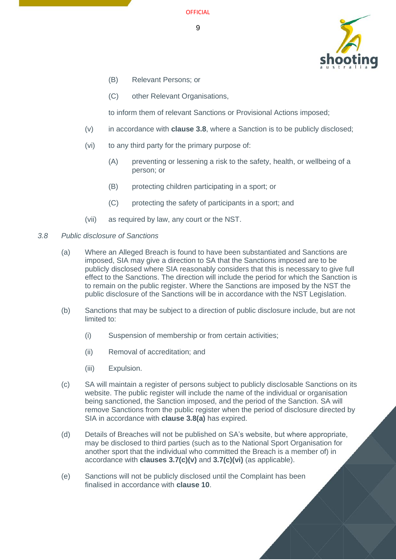9



- (B) Relevant Persons; or
- (C) other Relevant Organisations,

to inform them of relevant Sanctions or Provisional Actions imposed;

- <span id="page-8-2"></span>(v) in accordance with **clause [3.8](#page-8-0)**, where a Sanction is to be publicly disclosed;
- <span id="page-8-3"></span>(vi) to any third party for the primary purpose of:
	- (A) preventing or lessening a risk to the safety, health, or wellbeing of a person; or
	- (B) protecting children participating in a sport; or
	- (C) protecting the safety of participants in a sport; and
- (vii) as required by law, any court or the NST.
- <span id="page-8-4"></span><span id="page-8-1"></span><span id="page-8-0"></span>*3.8 Public disclosure of Sanctions*
	- (a) Where an Alleged Breach is found to have been substantiated and Sanctions are imposed, SIA may give a direction to SA that the Sanctions imposed are to be publicly disclosed where SIA reasonably considers that this is necessary to give full effect to the Sanctions. The direction will include the period for which the Sanction is to remain on the public register. Where the Sanctions are imposed by the NST the public disclosure of the Sanctions will be in accordance with the NST Legislation.
	- (b) Sanctions that may be subject to a direction of public disclosure include, but are not limited to:
		- (i) Suspension of membership or from certain activities;
		- (ii) Removal of accreditation; and
		- (iii) Expulsion.
	- (c) SA will maintain a register of persons subject to publicly disclosable Sanctions on its website. The public register will include the name of the individual or organisation being sanctioned, the Sanction imposed, and the period of the Sanction. SA will remove Sanctions from the public register when the period of disclosure directed by SIA in accordance with **clause [3.8](#page-8-0)[\(a\)](#page-8-1)** has expired.
	- (d) Details of Breaches will not be published on SA's website, but where appropriate, may be disclosed to third parties (such as to the National Sport Organisation for another sport that the individual who committed the Breach is a member of) in accordance with **clauses [3.7](#page-6-3)[\(c\)\(v\)](#page-8-2)** and **[3.7](#page-6-3)[\(c\)\(vi\)](#page-8-3)** (as applicable).
	- (e) Sanctions will not be publicly disclosed until the Complaint has been finalised in accordance with **clause [10](#page-23-2)**.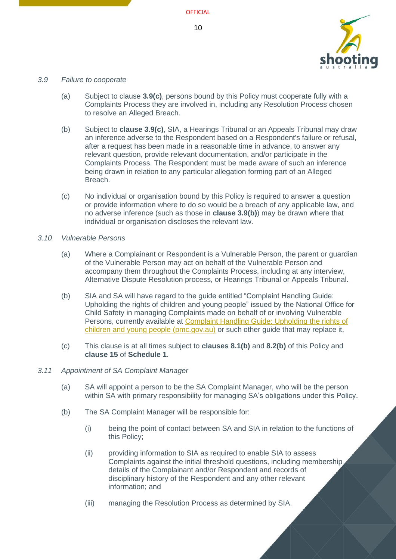

#### <span id="page-9-0"></span>*3.9 Failure to cooperate*

- (a) Subject to clause **[3.9](#page-9-0)[\(c\)](#page-9-3)**, persons bound by this Policy must cooperate fully with a Complaints Process they are involved in, including any Resolution Process chosen to resolve an Alleged Breach.
- <span id="page-9-4"></span>(b) Subject to **clause [3.9](#page-9-0)[\(c\)](#page-9-3)**, SIA, a Hearings Tribunal or an Appeals Tribunal may draw an inference adverse to the Respondent based on a Respondent's failure or refusal, after a request has been made in a reasonable time in advance, to answer any relevant question, provide relevant documentation, and/or participate in the Complaints Process. The Respondent must be made aware of such an inference being drawn in relation to any particular allegation forming part of an Alleged Breach.
- <span id="page-9-3"></span>(c) No individual or organisation bound by this Policy is required to answer a question or provide information where to do so would be a breach of any applicable law, and no adverse inference (such as those in **clause [3.9](#page-9-0)[\(b\)](#page-9-4)**) may be drawn where that individual or organisation discloses the relevant law.
- <span id="page-9-1"></span>*3.10 Vulnerable Persons*
	- (a) Where a Complainant or Respondent is a Vulnerable Person, the parent or guardian of the Vulnerable Person may act on behalf of the Vulnerable Person and accompany them throughout the Complaints Process, including at any interview, Alternative Dispute Resolution process, or Hearings Tribunal or Appeals Tribunal.
	- (b) SIA and SA will have regard to the guide entitled "Complaint Handling Guide: Upholding the rights of children and young people" issued by the National Office for Child Safety in managing Complaints made on behalf of or involving Vulnerable Persons, currently available at [Complaint Handling Guide: Upholding the rights of](https://childsafety.pmc.gov.au/sites/default/files/2020-09/nocs-complaint-handling-guide.pdf)  [children and young people \(pmc.gov.au\)](https://childsafety.pmc.gov.au/sites/default/files/2020-09/nocs-complaint-handling-guide.pdf) or such other guide that may replace it.
	- (c) This clause is at all times subject to **clauses [8.1\(b\)](#page-20-5)** and **[8.2\(b\)](#page-20-6)** of this Policy and **clause 15** of **[Schedule 1](#page-26-1)**.

#### <span id="page-9-2"></span>*3.11 Appointment of SA Complaint Manager*

- (a) SA will appoint a person to be the SA Complaint Manager, who will be the person within SA with primary responsibility for managing SA's obligations under this Policy.
- (b) The SA Complaint Manager will be responsible for:
	- (i) being the point of contact between SA and SIA in relation to the functions of this Policy;
	- (ii) providing information to SIA as required to enable SIA to assess Complaints against the initial threshold questions, including membership details of the Complainant and/or Respondent and records of disciplinary history of the Respondent and any other relevant information; and
	- (iii) managing the Resolution Process as determined by SIA.

**OFFICIAL**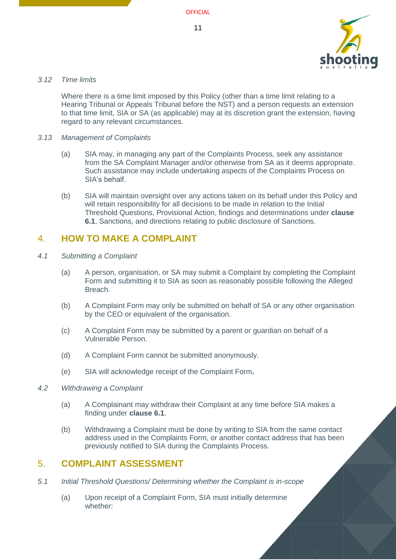

#### <span id="page-10-0"></span>*3.12 Time limits*

Where there is a time limit imposed by this Policy (other than a time limit relating to a Hearing Tribunal or Appeals Tribunal before the NST) and a person requests an extension to that time limit, SIA or SA (as applicable) may at its discretion grant the extension, having regard to any relevant circumstances.

#### <span id="page-10-1"></span>*3.13 Management of Complaints*

- (a) SIA may, in managing any part of the Complaints Process, seek any assistance from the SA Complaint Manager and/or otherwise from SA as it deems appropriate. Such assistance may include undertaking aspects of the Complaints Process on SIA's behalf.
- (b) SIA will maintain oversight over any actions taken on its behalf under this Policy and will retain responsibility for all decisions to be made in relation to the Initial Threshold Questions, Provisional Action, findings and determinations under **clause [6.1](#page-16-1)**, Sanctions, and directions relating to public disclosure of Sanctions.

# <span id="page-10-2"></span>4. **HOW TO MAKE A COMPLAINT**

- <span id="page-10-3"></span>*4.1 Submitting a Complaint*
	- (a) A person, organisation, or SA may submit a Complaint by completing the Complaint Form and submitting it to SIA as soon as reasonably possible following the Alleged Breach.
	- (b) A Complaint Form may only be submitted on behalf of SA or any other organisation by the CEO or equivalent of the organisation.
	- (c) A Complaint Form may be submitted by a parent or guardian on behalf of a Vulnerable Person.
	- (d) A Complaint Form cannot be submitted anonymously.
	- (e) SIA will acknowledge receipt of the Complaint Form**.**
- <span id="page-10-4"></span>*4.2 Withdrawing a Complaint*
	- (a) A Complainant may withdraw their Complaint at any time before SIA makes a finding under **clause [6.1](#page-16-1)**.
	- (b) Withdrawing a Complaint must be done by writing to SIA from the same contact address used in the Complaints Form, or another contact address that has been previously notified to SIA during the Complaints Process.

## <span id="page-10-5"></span>5. **COMPLAINT ASSESSMENT**

- <span id="page-10-6"></span>*5.1 Initial Threshold Questions/ Determining whether the Complaint is in-scope*
	- (a) Upon receipt of a Complaint Form, SIA must initially determine whether: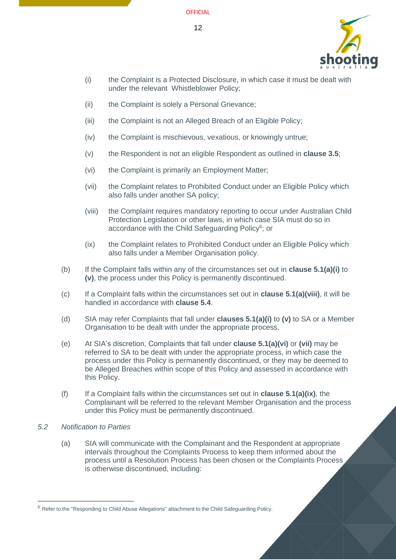

- <span id="page-11-1"></span>(i) the Complaint is a Protected Disclosure, in which case it must be dealt with under the relevant Whistleblower Policy;
- (ii) the Complaint is solely a Personal Grievance;
- (iii) the Complaint is not an Alleged Breach of an Eligible Policy;
- (iv) the Complaint is mischievous, vexatious, or knowingly untrue;
- <span id="page-11-2"></span>(v) the Respondent is not an eligible Respondent as outlined in **clause [3.5](#page-6-1)**;
- <span id="page-11-4"></span>(vi) the Complaint is primarily an Employment Matter;
- <span id="page-11-5"></span>(vii) the Complaint relates to Prohibited Conduct under an Eligible Policy which also falls under another SA policy;
- <span id="page-11-3"></span>(viii) the Complaint requires mandatory reporting to occur under Australian Child Protection Legislation or other laws, in which case SIA must do so in accordance with the Child Safeguarding Policy<sup>6</sup>; or
- (ix) the Complaint relates to Prohibited Conduct under an Eligible Policy which also falls under a Member Organisation policy.
- (b) If the Complaint falls within any of the circumstances set out in **clause [5.1\(a\)\(i\)](#page-11-1)** to **[\(v\)](#page-11-2)**, the process under this Policy is permanently discontinued.
- (c) If a Complaint falls within the circumstances set out in **clause [5.1\(a\)\(viii\)](#page-11-3)**, it will be handled in accordance with **clause [5.4](#page-13-0)**.
- (d) SIA may refer Complaints that fall under **clauses [5.1\(a\)\(i\)](#page-11-1)** to **[\(v\)](#page-11-2)** to SA or a Member Organisation to be dealt with under the appropriate process.
- (e) At SIA's discretion, Complaints that fall under **clause [5.1\(a\)\(vi\)](#page-11-4)** or **[\(vii\)](#page-11-5)** may be referred to SA to be dealt with under the appropriate process, in which case the process under this Policy is permanently discontinued, or they may be deemed to be Alleged Breaches within scope of this Policy and assessed in accordance with this Policy.
- (f) If a Complaint falls within the circumstances set out in **clause 5.1(a)(ix)**, the Complainant will be referred to the relevant Member Organisation and the process under this Policy must be permanently discontinued.
- <span id="page-11-0"></span>*5.2 Notification to Parties*
	- (a) SIA will communicate with the Complainant and the Respondent at appropriate intervals throughout the Complaints Process to keep them informed about the process until a Resolution Process has been chosen or the Complaints Process is otherwise discontinued, including:

<sup>6</sup> Refer to the "Responding to Child Abuse Allegations" attachment to the Child Safeguarding Policy.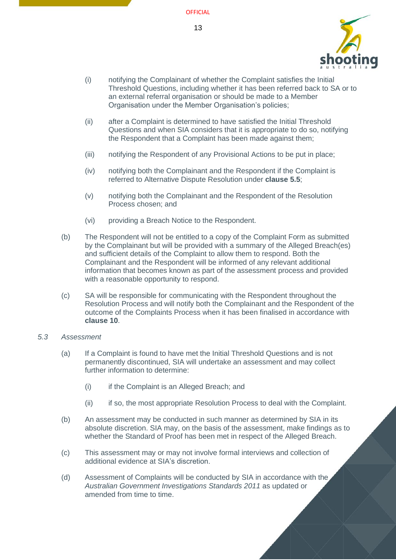

- (i) notifying the Complainant of whether the Complaint satisfies the Initial Threshold Questions, including whether it has been referred back to SA or to an external referral organisation or should be made to a Member Organisation under the Member Organisation's policies;
- (ii) after a Complaint is determined to have satisfied the Initial Threshold Questions and when SIA considers that it is appropriate to do so, notifying the Respondent that a Complaint has been made against them;
- (iii) notifying the Respondent of any Provisional Actions to be put in place;
- (iv) notifying both the Complainant and the Respondent if the Complaint is referred to Alternative Dispute Resolution under **clause [5.5](#page-13-1)**;
- (v) notifying both the Complainant and the Respondent of the Resolution Process chosen; and
- (vi) providing a Breach Notice to the Respondent.
- (b) The Respondent will not be entitled to a copy of the Complaint Form as submitted by the Complainant but will be provided with a summary of the Alleged Breach(es) and sufficient details of the Complaint to allow them to respond. Both the Complainant and the Respondent will be informed of any relevant additional information that becomes known as part of the assessment process and provided with a reasonable opportunity to respond.
- (c) SA will be responsible for communicating with the Respondent throughout the Resolution Process and will notify both the Complainant and the Respondent of the outcome of the Complaints Process when it has been finalised in accordance with **clause [10](#page-23-2)**.

#### <span id="page-12-0"></span>*5.3 Assessment*

- (a) If a Complaint is found to have met the Initial Threshold Questions and is not permanently discontinued, SIA will undertake an assessment and may collect further information to determine:
	- (i) if the Complaint is an Alleged Breach; and
	- (ii) if so, the most appropriate Resolution Process to deal with the Complaint.
- (b) An assessment may be conducted in such manner as determined by SIA in its absolute discretion. SIA may, on the basis of the assessment, make findings as to whether the Standard of Proof has been met in respect of the Alleged Breach.
- (c) This assessment may or may not involve formal interviews and collection of additional evidence at SIA's discretion.
- (d) Assessment of Complaints will be conducted by SIA in accordance with the *Australian Government Investigations Standards 2011* as updated or amended from time to time.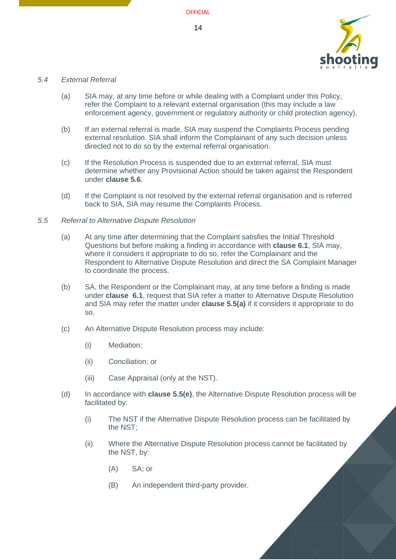

#### <span id="page-13-0"></span>*5.4 External Referral*

- (a) SIA may, at any time before or while dealing with a Complaint under this Policy, refer the Complaint to a relevant external organisation (this may include a law enforcement agency, government or regulatory authority or child protection agency).
- (b) If an external referral is made, SIA may suspend the Complaints Process pending external resolution. SIA shall inform the Complainant of any such decision unless directed not to do so by the external referral organisation.
- (c) If the Resolution Process is suspended due to an external referral, SIA must determine whether any Provisional Action should be taken against the Respondent under **clause [5.6](#page-15-0)**.
- (d) If the Complaint is not resolved by the external referral organisation and is referred back to SIA, SIA may resume the Complaints Process.

#### <span id="page-13-2"></span><span id="page-13-1"></span>*5.5 Referral to Alternative Dispute Resolution*

- (a) At any time after determining that the Complaint satisfies the Initial Threshold Questions but before making a finding in accordance with **clause 6.1**, SIA may, where it considers it appropriate to do so, refer the Complainant and the Respondent to Alternative Dispute Resolution and direct the SA Complaint Manager to coordinate the process.
- (b) SA, the Respondent or the Complainant may, at any time before a finding is made under **clause [6.1](#page-16-1)**, request that SIA refer a matter to Alternative Dispute Resolution and SIA may refer the matter under **clause [5.5\(a\)](#page-13-2)** if it considers it appropriate to do so.
- (c) An Alternative Dispute Resolution process may include:
	- (i) Mediation;
	- (ii) Conciliation; or
	- (iii) Case Appraisal (only at the NST).
- (d) In accordance with **clause [5.5](#page-13-1)[\(e\)](#page-14-0)**, the Alternative Dispute Resolution process will be facilitated by:
	- (i) The NST if the Alternative Dispute Resolution process can be facilitated by the NST;
	- (ii) Where the Alternative Dispute Resolution process cannot be facilitated by the NST, by:
		- (A) SA; or
		- (B) An independent third-party provider.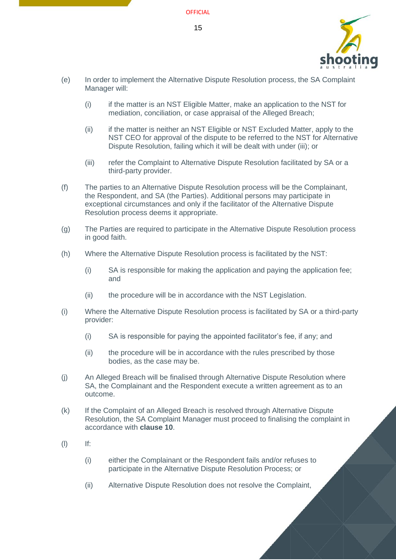

- <span id="page-14-0"></span>(e) In order to implement the Alternative Dispute Resolution process, the SA Complaint Manager will:
	- (i) if the matter is an NST Eligible Matter, make an application to the NST for mediation, conciliation, or case appraisal of the Alleged Breach;
	- (ii) if the matter is neither an NST Eligible or NST Excluded Matter, apply to the NST CEO for approval of the dispute to be referred to the NST for Alternative Dispute Resolution, failing which it will be dealt with under (iii); or
	- (iii) refer the Complaint to Alternative Dispute Resolution facilitated by SA or a third-party provider.
- (f) The parties to an Alternative Dispute Resolution process will be the Complainant, the Respondent, and SA (the Parties). Additional persons may participate in exceptional circumstances and only if the facilitator of the Alternative Dispute Resolution process deems it appropriate.
- (g) The Parties are required to participate in the Alternative Dispute Resolution process in good faith.
- (h) Where the Alternative Dispute Resolution process is facilitated by the NST:
	- (i) SA is responsible for making the application and paying the application fee; and
	- (ii) the procedure will be in accordance with the NST Legislation.
- (i) Where the Alternative Dispute Resolution process is facilitated by SA or a third-party provider:
	- (i) SA is responsible for paying the appointed facilitator's fee, if any; and
	- (ii) the procedure will be in accordance with the rules prescribed by those bodies, as the case may be.
- (j) An Alleged Breach will be finalised through Alternative Dispute Resolution where SA, the Complainant and the Respondent execute a written agreement as to an outcome.
- (k) If the Complaint of an Alleged Breach is resolved through Alternative Dispute Resolution, the SA Complaint Manager must proceed to finalising the complaint in accordance with **clause [10](#page-23-2)**.
- (l) If:
	- (i) either the Complainant or the Respondent fails and/or refuses to participate in the Alternative Dispute Resolution Process; or
	- (ii) Alternative Dispute Resolution does not resolve the Complaint,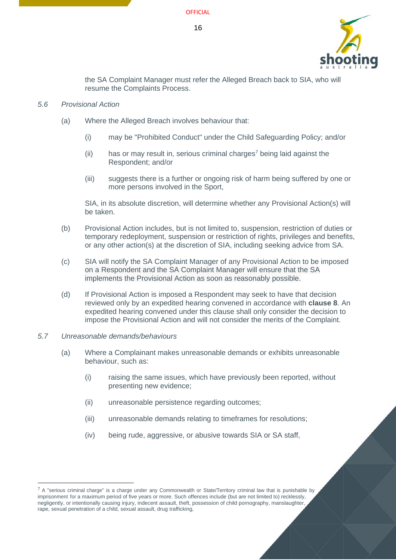

the SA Complaint Manager must refer the Alleged Breach back to SIA, who will resume the Complaints Process.

#### <span id="page-15-0"></span>*5.6 Provisional Action*

- (a) Where the Alleged Breach involves behaviour that:
	- (i) may be "Prohibited Conduct" under the Child Safeguarding Policy; and/or
	- (ii) has or may result in, serious criminal charges<sup>7</sup> being laid against the Respondent; and/or
	- (iii) suggests there is a further or ongoing risk of harm being suffered by one or more persons involved in the Sport,

SIA, in its absolute discretion, will determine whether any Provisional Action(s) will be taken.

- (b) Provisional Action includes, but is not limited to, suspension, restriction of duties or temporary redeployment, suspension or restriction of rights, privileges and benefits, or any other action(s) at the discretion of SIA, including seeking advice from SA.
- (c) SIA will notify the SA Complaint Manager of any Provisional Action to be imposed on a Respondent and the SA Complaint Manager will ensure that the SA implements the Provisional Action as soon as reasonably possible.
- (d) If Provisional Action is imposed a Respondent may seek to have that decision reviewed only by an expedited hearing convened in accordance with **clause [8](#page-20-0)**. An expedited hearing convened under this clause shall only consider the decision to impose the Provisional Action and will not consider the merits of the Complaint.

#### <span id="page-15-1"></span>*5.7 Unreasonable demands/behaviours*

- (a) Where a Complainant makes unreasonable demands or exhibits unreasonable behaviour, such as:
	- (i) raising the same issues, which have previously been reported, without presenting new evidence;
	- (ii) unreasonable persistence regarding outcomes;
	- (iii) unreasonable demands relating to timeframes for resolutions;
	- (iv) being rude, aggressive, or abusive towards SIA or SA staff,

 $7$  A "serious criminal charge" is a charge under any Commonwealth or State/Territory criminal law that is punishable by imprisonment for a maximum period of five years or more. Such offences include (but are not limited to) recklessly, negligently, or intentionally causing injury, indecent assault, theft, possession of child pornography, manslaughter, rape, sexual penetration of a child, sexual assault, drug trafficking,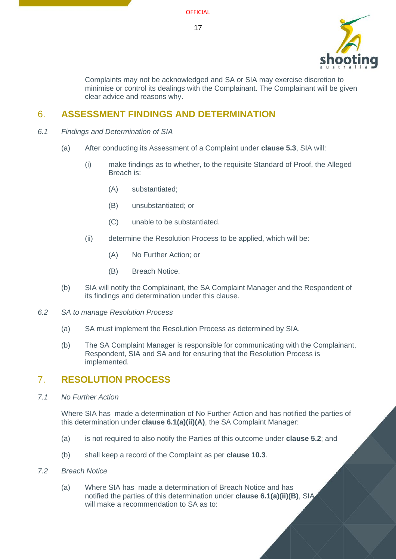

Complaints may not be acknowledged and SA or SIA may exercise discretion to minimise or control its dealings with the Complainant. The Complainant will be given clear advice and reasons why.

# <span id="page-16-0"></span>6. **ASSESSMENT FINDINGS AND DETERMINATION**

- <span id="page-16-1"></span>*6.1 Findings and Determination of SIA*
	- (a) After conducting its Assessment of a Complaint under **clause [5.3](#page-12-0)**, SIA will:
		- (i) make findings as to whether, to the requisite Standard of Proof, the Alleged Breach is:
			- (A) substantiated;
			- (B) unsubstantiated; or
			- (C) unable to be substantiated.
		- (ii) determine the Resolution Process to be applied, which will be:
			- (A) No Further Action; or
			- (B) Breach Notice.
	- (b) SIA will notify the Complainant, the SA Complaint Manager and the Respondent of its findings and determination under this clause.
- <span id="page-16-9"></span><span id="page-16-7"></span><span id="page-16-6"></span><span id="page-16-2"></span>*6.2 SA to manage Resolution Process*
	- (a) SA must implement the Resolution Process as determined by SIA.
	- (b) The SA Complaint Manager is responsible for communicating with the Complainant, Respondent, SIA and SA and for ensuring that the Resolution Process is implemented.

# <span id="page-16-3"></span>7. **RESOLUTION PROCESS**

<span id="page-16-4"></span>*7.1 No Further Action*

Where SIA has made a determination of No Further Action and has notified the parties of this determination under **clause [6.1\(a\)\(ii\)\(A\)](#page-16-6)**, the SA Complaint Manager:

- (a) is not required to also notify the Parties of this outcome under **clause [5.2](#page-11-0)**; and
- (b) shall keep a record of the Complaint as per **clause [10.3](#page-24-0)**.
- <span id="page-16-8"></span><span id="page-16-5"></span>*7.2 Breach Notice*
	- (a) Where SIA has made a determination of Breach Notice and has notified the parties of this determination under **clause [6.1\(a\)\(ii\)\(B\)](#page-16-7)**, SIA will make a recommendation to SA as to: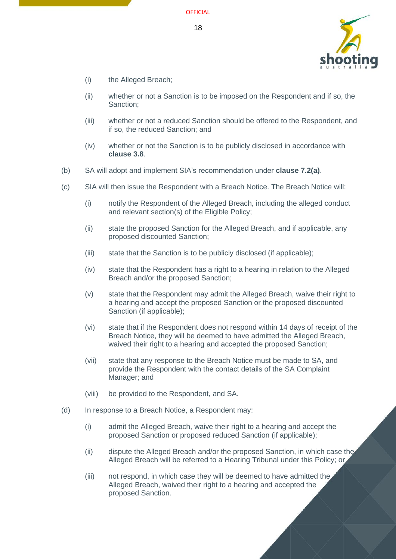

- (i) the Alleged Breach;
- (ii) whether or not a Sanction is to be imposed on the Respondent and if so, the Sanction;
- (iii) whether or not a reduced Sanction should be offered to the Respondent, and if so, the reduced Sanction; and
- (iv) whether or not the Sanction is to be publicly disclosed in accordance with **clause [3.8](#page-8-0)**.
- (b) SA will adopt and implement SIA's recommendation under **clause [7.2\(a\)](#page-16-8)**.
- (c) SIA will then issue the Respondent with a Breach Notice. The Breach Notice will:
	- (i) notify the Respondent of the Alleged Breach, including the alleged conduct and relevant section(s) of the Eligible Policy;
	- (ii) state the proposed Sanction for the Alleged Breach, and if applicable, any proposed discounted Sanction;
	- (iii) state that the Sanction is to be publicly disclosed (if applicable);
	- (iv) state that the Respondent has a right to a hearing in relation to the Alleged Breach and/or the proposed Sanction;
	- (v) state that the Respondent may admit the Alleged Breach, waive their right to a hearing and accept the proposed Sanction or the proposed discounted Sanction (if applicable);
	- (vi) state that if the Respondent does not respond within 14 days of receipt of the Breach Notice, they will be deemed to have admitted the Alleged Breach, waived their right to a hearing and accepted the proposed Sanction;
	- (vii) state that any response to the Breach Notice must be made to SA, and provide the Respondent with the contact details of the SA Complaint Manager; and
	- (viii) be provided to the Respondent, and SA.
- <span id="page-17-0"></span>(d) In response to a Breach Notice, a Respondent may:
	- (i) admit the Alleged Breach, waive their right to a hearing and accept the proposed Sanction or proposed reduced Sanction (if applicable);
	- (ii) dispute the Alleged Breach and/or the proposed Sanction, in which case the Alleged Breach will be referred to a Hearing Tribunal under this Policy; or
	- (iii) not respond, in which case they will be deemed to have admitted the Alleged Breach, waived their right to a hearing and accepted the proposed Sanction.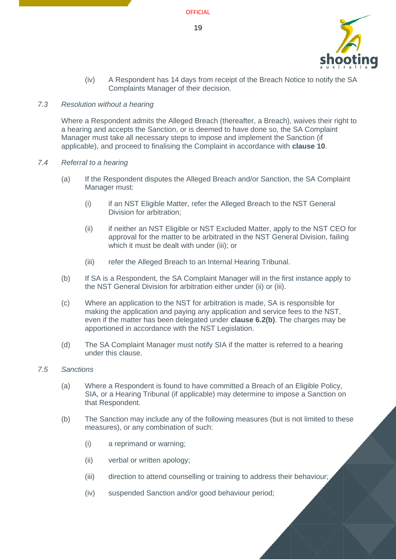

(iv) A Respondent has 14 days from receipt of the Breach Notice to notify the SA Complaints Manager of their decision.

#### <span id="page-18-0"></span>*7.3 Resolution without a hearing*

Where a Respondent admits the Alleged Breach (thereafter, a Breach), waives their right to a hearing and accepts the Sanction, or is deemed to have done so, the SA Complaint Manager must take all necessary steps to impose and implement the Sanction (if applicable), and proceed to finalising the Complaint in accordance with **clause [10](#page-23-2)**.

#### <span id="page-18-1"></span>*7.4 Referral to a hearing*

- (a) If the Respondent disputes the Alleged Breach and/or Sanction, the SA Complaint Manager must:
	- (i) if an NST Eligible Matter, refer the Alleged Breach to the NST General Division for arbitration;
	- (ii) if neither an NST Eligible or NST Excluded Matter, apply to the NST CEO for approval for the matter to be arbitrated in the NST General Division, failing which it must be dealt with under (iii); or
	- (iii) refer the Alleged Breach to an Internal Hearing Tribunal.
- (b) If SA is a Respondent, the SA Complaint Manager will in the first instance apply to the NST General Division for arbitration either under (ii) or (iii).
- (c) Where an application to the NST for arbitration is made, SA is responsible for making the application and paying any application and service fees to the NST, even if the matter has been delegated under **clause [6.2\(b\)](#page-16-9)**. The charges may be apportioned in accordance with the NST Legislation.
- (d) The SA Complaint Manager must notify SIA if the matter is referred to a hearing under this clause.

#### <span id="page-18-2"></span>*7.5 Sanctions*

- (a) Where a Respondent is found to have committed a Breach of an Eligible Policy, SIA, or a Hearing Tribunal (if applicable) may determine to impose a Sanction on that Respondent.
- (b) The Sanction may include any of the following measures (but is not limited to these measures), or any combination of such:
	- (i) a reprimand or warning;
	- (ii) verbal or written apology;
	- (iii) direction to attend counselling or training to address their behaviour;
	- (iv) suspended Sanction and/or good behaviour period;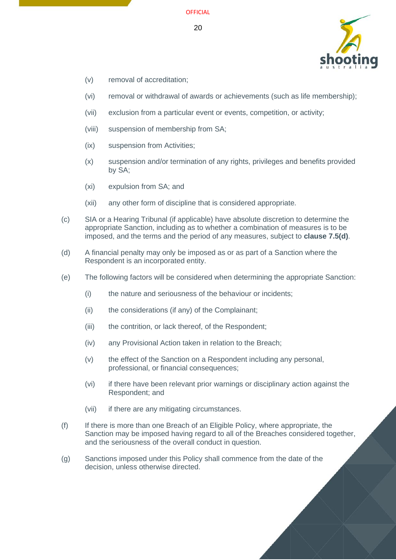

- (v) removal of accreditation;
- (vi) removal or withdrawal of awards or achievements (such as life membership);
- (vii) exclusion from a particular event or events, competition, or activity;
- (viii) suspension of membership from SA;
- (ix) suspension from Activities;
- (x) suspension and/or termination of any rights, privileges and benefits provided by SA;
- (xi) expulsion from SA; and
- (xii) any other form of discipline that is considered appropriate.
- (c) SIA or a Hearing Tribunal (if applicable) have absolute discretion to determine the appropriate Sanction, including as to whether a combination of measures is to be imposed, and the terms and the period of any measures, subject to **clause [7.5\(d\)](#page-19-0)**.
- <span id="page-19-0"></span>(d) A financial penalty may only be imposed as or as part of a Sanction where the Respondent is an incorporated entity.
- (e) The following factors will be considered when determining the appropriate Sanction:
	- (i) the nature and seriousness of the behaviour or incidents;
	- (ii) the considerations (if any) of the Complainant;
	- (iii) the contrition, or lack thereof, of the Respondent;
	- (iv) any Provisional Action taken in relation to the Breach;
	- (v) the effect of the Sanction on a Respondent including any personal, professional, or financial consequences;
	- (vi) if there have been relevant prior warnings or disciplinary action against the Respondent; and
	- (vii) if there are any mitigating circumstances.
- (f) If there is more than one Breach of an Eligible Policy, where appropriate, the Sanction may be imposed having regard to all of the Breaches considered together, and the seriousness of the overall conduct in question.
- (g) Sanctions imposed under this Policy shall commence from the date of the decision, unless otherwise directed.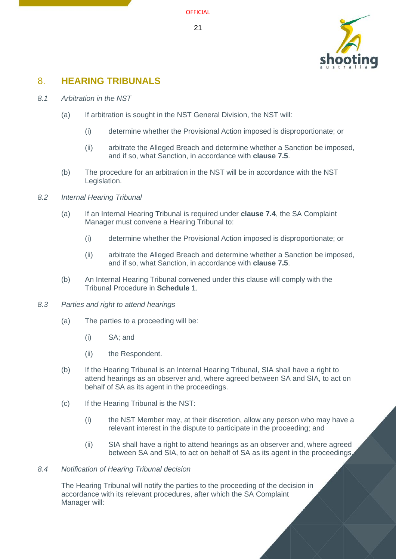

# <span id="page-20-0"></span>8. **HEARING TRIBUNALS**

- <span id="page-20-9"></span><span id="page-20-1"></span>*8.1 Arbitration in the NST*
	- (a) If arbitration is sought in the NST General Division, the NST will:
		- (i) determine whether the Provisional Action imposed is disproportionate; or
		- (ii) arbitrate the Alleged Breach and determine whether a Sanction be imposed, and if so, what Sanction, in accordance with **clause [7.5](#page-18-2)**.
	- (b) The procedure for an arbitration in the NST will be in accordance with the NST Legislation.
- <span id="page-20-10"></span><span id="page-20-7"></span><span id="page-20-5"></span><span id="page-20-2"></span>*8.2 Internal Hearing Tribunal*
	- (a) If an Internal Hearing Tribunal is required under **clause [7.4](#page-18-1)**, the SA Complaint Manager must convene a Hearing Tribunal to:
		- (i) determine whether the Provisional Action imposed is disproportionate; or
		- (ii) arbitrate the Alleged Breach and determine whether a Sanction be imposed, and if so, what Sanction, in accordance with **clause [7.5](#page-18-2)**.
	- (b) An Internal Hearing Tribunal convened under this clause will comply with the Tribunal Procedure in **Schedule 1**.
- <span id="page-20-8"></span><span id="page-20-6"></span><span id="page-20-3"></span>*8.3 Parties and right to attend hearings*
	- (a) The parties to a proceeding will be:
		- (i) SA; and
		- (ii) the Respondent.
	- (b) If the Hearing Tribunal is an Internal Hearing Tribunal, SIA shall have a right to attend hearings as an observer and, where agreed between SA and SIA, to act on behalf of SA as its agent in the proceedings.
	- (c) If the Hearing Tribunal is the NST:
		- (i) the NST Member may, at their discretion, allow any person who may have a relevant interest in the dispute to participate in the proceeding; and
		- (ii) SIA shall have a right to attend hearings as an observer and, where agreed between SA and SIA, to act on behalf of SA as its agent in the proceedings.

#### <span id="page-20-4"></span>*8.4 Notification of Hearing Tribunal decision*

The Hearing Tribunal will notify the parties to the proceeding of the decision in accordance with its relevant procedures, after which the SA Complaint Manager will: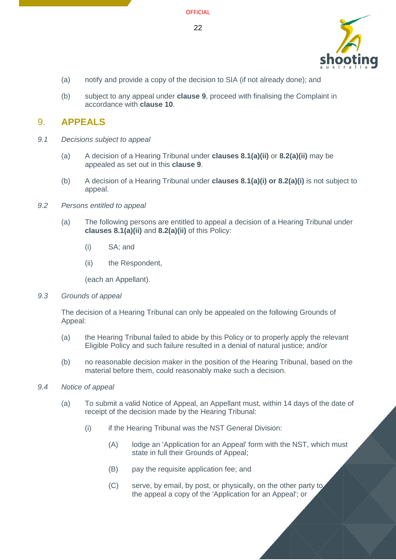

- (a) notify and provide a copy of the decision to SIA (if not already done); and
- (b) subject to any appeal under **clause 9**[, p](#page-21-0)roceed with finalising the Complaint in accordance with **clause [10](#page-23-2)**.

# <span id="page-21-0"></span>9. **APPEALS**

- <span id="page-21-1"></span>*9.1 Decisions subject to appeal*
	- (a) A decision of a Hearing Tribunal under **clauses [8.1\(a\)\(ii\)](#page-20-7)** or **[8.2\(a\)\(ii\)](#page-20-8)** may be appealed as set out in this **clause [9](#page-21-0)**.
	- (b) A decision of a Hearing Tribunal under **clauses [8.1\(a\)\(i\) o](#page-20-9)r [8.2\(a\)\(i\)](#page-20-10)** is not subject to appeal.
- <span id="page-21-2"></span>*9.2 Persons entitled to appeal*
	- (a) The following persons are entitled to appeal a decision of a Hearing Tribunal under **clauses [8.1\(a\)\(ii\)](#page-20-7)** and **[8.2\(a\)\(ii\)](#page-20-8)** of this Policy:
		- (i) SA; and
		- (ii) the Respondent,

(each an Appellant).

<span id="page-21-5"></span><span id="page-21-3"></span>*9.3 Grounds of appeal*

The decision of a Hearing Tribunal can only be appealed on the following Grounds of Appeal:

- (a) the Hearing Tribunal failed to abide by this Policy or to properly apply the relevant Eligible Policy and such failure resulted in a denial of natural justice; and/or
- (b) no reasonable decision maker in the position of the Hearing Tribunal, based on the material before them, could reasonably make such a decision.
- <span id="page-21-4"></span>*9.4 Notice of appeal*
	- (a) To submit a valid Notice of Appeal, an Appellant must, within 14 days of the date of receipt of the decision made by the Hearing Tribunal:
		- (i) if the Hearing Tribunal was the NST General Division:
			- (A) lodge an 'Application for an Appeal' form with the NST, which must state in full their Grounds of Appeal;
			- (B) pay the requisite application fee; and
			- (C) serve, by email, by post, or physically, on the other party to the appeal a copy of the 'Application for an Appeal'; or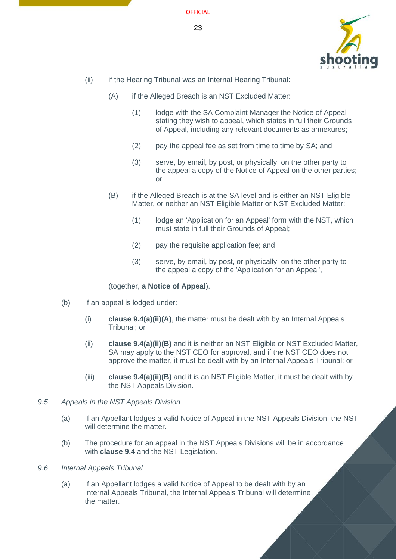

- <span id="page-22-2"></span>(ii) if the Hearing Tribunal was an Internal Hearing Tribunal:
	- (A) if the Alleged Breach is an NST Excluded Matter:
		- (1) lodge with the SA Complaint Manager the Notice of Appeal stating they wish to appeal, which states in full their Grounds of Appeal, including any relevant documents as annexures;
		- (2) pay the appeal fee as set from time to time by SA; and
		- (3) serve, by email, by post, or physically, on the other party to the appeal a copy of the Notice of Appeal on the other parties; or
	- (B) if the Alleged Breach is at the SA level and is either an NST Eligible Matter, or neither an NST Eligible Matter or NST Excluded Matter:
		- (1) lodge an 'Application for an Appeal' form with the NST, which must state in full their Grounds of Appeal;
		- (2) pay the requisite application fee; and
		- (3) serve, by email, by post, or physically, on the other party to the appeal a copy of the 'Application for an Appeal',

#### (together, **a Notice of Appeal**).

- <span id="page-22-3"></span>(b) If an appeal is lodged under:
	- (i) **clause [9.4\(a\)\(ii\)\(A\)](#page-22-2)**, the matter must be dealt with by an Internal Appeals Tribunal; or
	- (ii) **clause [9.4\(a\)\(ii\)\(B\)](#page-22-3)** and it is neither an NST Eligible or NST Excluded Matter, SA may apply to the NST CEO for approval, and if the NST CEO does not approve the matter, it must be dealt with by an Internal Appeals Tribunal; or
	- (iii) **clause [9.4\(a\)\(ii\)\(B\)](#page-22-3)** and it is an NST Eligible Matter, it must be dealt with by the NST Appeals Division.
- <span id="page-22-0"></span>*9.5 Appeals in the NST Appeals Division*
	- (a) If an Appellant lodges a valid Notice of Appeal in the NST Appeals Division, the NST will determine the matter.
	- (b) The procedure for an appeal in the NST Appeals Divisions will be in accordance with **clause [9.4](#page-21-4)** and the NST Legislation.
- <span id="page-22-1"></span>*9.6 Internal Appeals Tribunal*
	- (a) If an Appellant lodges a valid Notice of Appeal to be dealt with by an Internal Appeals Tribunal, the Internal Appeals Tribunal will determine the matter.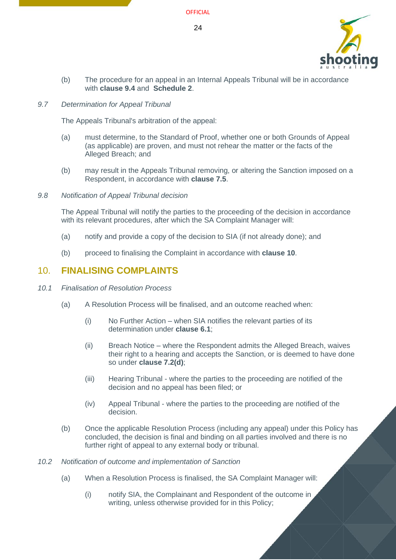

(b) The procedure for an appeal in an Internal Appeals Tribunal will be in accordance with **clause [9.4](#page-21-4)** and **[Schedule 2](#page-32-1)**.

#### <span id="page-23-0"></span>*9.7 Determination for Appeal Tribunal*

The Appeals Tribunal's arbitration of the appeal:

- (a) must determine, to the Standard of Proof, whether one or both Grounds of Appeal (as applicable) are proven, and must not rehear the matter or the facts of the Alleged Breach; and
- (b) may result in the Appeals Tribunal removing, or altering the Sanction imposed on a Respondent, in accordance with **clause [7.5](#page-18-2)**.

#### <span id="page-23-1"></span>*9.8 Notification of Appeal Tribunal decision*

The Appeal Tribunal will notify the parties to the proceeding of the decision in accordance with its relevant procedures, after which the SA Complaint Manager will:

- (a) notify and provide a copy of the decision to SIA (if not already done); and
- (b) proceed to finalising the Complaint in accordance with **clause [10](#page-23-2)**.

# <span id="page-23-2"></span>10. **FINALISING COMPLAINTS**

#### <span id="page-23-3"></span>*10.1 Finalisation of Resolution Process*

- (a) A Resolution Process will be finalised, and an outcome reached when:
	- (i) No Further Action when SIA notifies the relevant parties of its determination under **clause [6.1](#page-16-1)**;
	- (ii) Breach Notice where the Respondent admits the Alleged Breach, waives their right to a hearing and accepts the Sanction, or is deemed to have done so under **clause [7.2\(d\)](#page-17-0)**;
	- (iii) Hearing Tribunal where the parties to the proceeding are notified of the decision and no appeal has been filed; or
	- (iv) Appeal Tribunal where the parties to the proceeding are notified of the decision.
- (b) Once the applicable Resolution Process (including any appeal) under this Policy has concluded, the decision is final and binding on all parties involved and there is no further right of appeal to any external body or tribunal.
- <span id="page-23-4"></span>*10.2 Notification of outcome and implementation of Sanction*
	- (a) When a Resolution Process is finalised, the SA Complaint Manager will:
		- (i) notify SIA, the Complainant and Respondent of the outcome in writing, unless otherwise provided for in this Policy;

24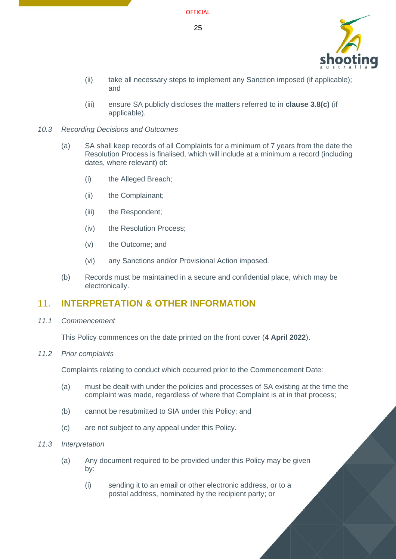

- (ii) take all necessary steps to implement any Sanction imposed (if applicable); and
- (iii) ensure SA publicly discloses the matters referred to in **clause [3.8\(c\)](#page-8-4)** (if applicable).
- <span id="page-24-0"></span>*10.3 Recording Decisions and Outcomes*
	- (a) SA shall keep records of all Complaints for a minimum of 7 years from the date the Resolution Process is finalised, which will include at a minimum a record (including dates, where relevant) of:
		- (i) the Alleged Breach;
		- (ii) the Complainant;
		- (iii) the Respondent;
		- (iv) the Resolution Process;
		- (v) the Outcome; and
		- (vi) any Sanctions and/or Provisional Action imposed.
	- (b) Records must be maintained in a secure and confidential place, which may be electronically.

# <span id="page-24-1"></span>11. **INTERPRETATION & OTHER INFORMATION**

<span id="page-24-2"></span>*11.1 Commencement*

This Policy commences on the date printed on the front cover (**4 April 2022**).

<span id="page-24-3"></span>*11.2 Prior complaints*

Complaints relating to conduct which occurred prior to the Commencement Date:

- (a) must be dealt with under the policies and processes of SA existing at the time the complaint was made, regardless of where that Complaint is at in that process;
- (b) cannot be resubmitted to SIA under this Policy; and
- (c) are not subject to any appeal under this Policy.
- <span id="page-24-4"></span>*11.3 Interpretation*
	- (a) Any document required to be provided under this Policy may be given by:
		- (i) sending it to an email or other electronic address, or to a postal address, nominated by the recipient party; or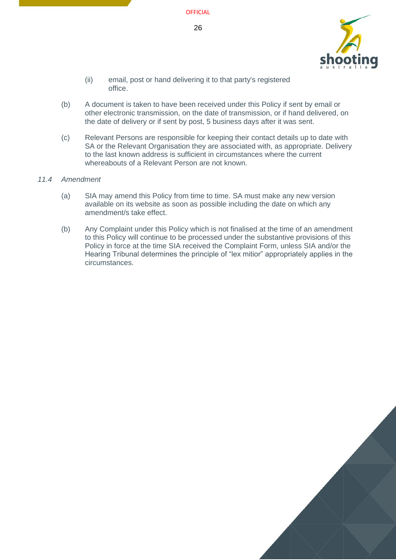

- (ii) email, post or hand delivering it to that party's registered office.
- (b) A document is taken to have been received under this Policy if sent by email or other electronic transmission, on the date of transmission, or if hand delivered, on the date of delivery or if sent by post, 5 business days after it was sent.
- (c) Relevant Persons are responsible for keeping their contact details up to date with SA or the Relevant Organisation they are associated with, as appropriate. Delivery to the last known address is sufficient in circumstances where the current whereabouts of a Relevant Person are not known.

#### <span id="page-25-0"></span>*11.4 Amendment*

- (a) SIA may amend this Policy from time to time. SA must make any new version available on its website as soon as possible including the date on which any amendment/s take effect.
- (b) Any Complaint under this Policy which is not finalised at the time of an amendment to this Policy will continue to be processed under the substantive provisions of this Policy in force at the time SIA received the Complaint Form, unless SIA and/or the Hearing Tribunal determines the principle of "lex mitior" appropriately applies in the circumstances.

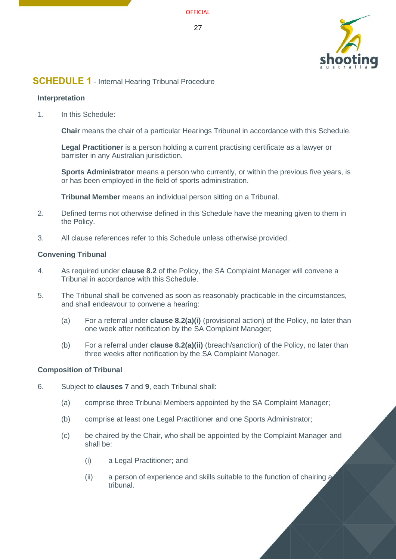

## <span id="page-26-1"></span>**SCHEDULE 1** - Internal Hearing Tribunal Procedure

#### <span id="page-26-0"></span>**Interpretation**

1. In this Schedule:

**Chair** means the chair of a particular Hearings Tribunal in accordance with this Schedule.

**Legal Practitioner** is a person holding a current practising certificate as a lawyer or barrister in any Australian jurisdiction.

**Sports Administrator** means a person who currently, or within the previous five years, is or has been employed in the field of sports administration.

**Tribunal Member** means an individual person sitting on a Tribunal.

- 2. Defined terms not otherwise defined in this Schedule have the meaning given to them in the Policy.
- 3. All clause references refer to this Schedule unless otherwise provided.

#### **Convening Tribunal**

- 4. As required under **clause [8.2](#page-20-2)** of the Policy, the SA Complaint Manager will convene a Tribunal in accordance with this Schedule.
- 5. The Tribunal shall be convened as soon as reasonably practicable in the circumstances, and shall endeavour to convene a hearing:
	- (a) For a referral under **clause [8.2\(a\)\(i\)](#page-20-10)** (provisional action) of the Policy, no later than one week after notification by the SA Complaint Manager;
	- (b) For a referral under **clause [8.2\(a\)\(ii\)](#page-20-8)** (breach/sanction) of the Policy, no later than three weeks after notification by the SA Complaint Manager.

#### **Composition of Tribunal**

- 6. Subject to **clauses [7](#page-16-3)** and **[9](#page-21-0)**, each Tribunal shall:
	- (a) comprise three Tribunal Members appointed by the SA Complaint Manager;
	- (b) comprise at least one Legal Practitioner and one Sports Administrator;
	- (c) be chaired by the Chair, who shall be appointed by the Complaint Manager and shall be:
		- (i) a Legal Practitioner; and
		- (ii) a person of experience and skills suitable to the function of chairing a tribunal.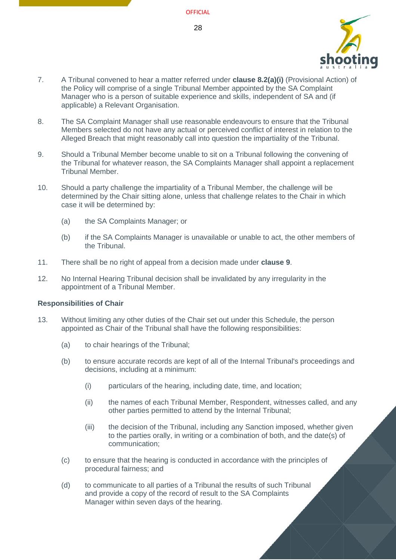- 7. A Tribunal convened to hear a matter referred under **clause [8.2\(a\)\(i\)](#page-20-10)** (Provisional Action) of the Policy will comprise of a single Tribunal Member appointed by the SA Complaint Manager who is a person of suitable experience and skills, independent of SA and (if applicable) a Relevant Organisation.
- 8. The SA Complaint Manager shall use reasonable endeavours to ensure that the Tribunal Members selected do not have any actual or perceived conflict of interest in relation to the Alleged Breach that might reasonably call into question the impartiality of the Tribunal.
- <span id="page-27-0"></span>9. Should a Tribunal Member become unable to sit on a Tribunal following the convening of the Tribunal for whatever reason, the SA Complaints Manager shall appoint a replacement Tribunal Member.
- 10. Should a party challenge the impartiality of a Tribunal Member, the challenge will be determined by the Chair sitting alone, unless that challenge relates to the Chair in which case it will be determined by:
	- (a) the SA Complaints Manager; or
	- (b) if the SA Complaints Manager is unavailable or unable to act, the other members of the Tribunal.
- <span id="page-27-1"></span>11. There shall be no right of appeal from a decision made under **clause 9**.
- 12. No Internal Hearing Tribunal decision shall be invalidated by any irregularity in the appointment of a Tribunal Member.

#### **Responsibilities of Chair**

- 13. Without limiting any other duties of the Chair set out under this Schedule, the person appointed as Chair of the Tribunal shall have the following responsibilities:
	- (a) to chair hearings of the Tribunal;
	- (b) to ensure accurate records are kept of all of the Internal Tribunal's proceedings and decisions, including at a minimum:
		- (i) particulars of the hearing, including date, time, and location;
		- (ii) the names of each Tribunal Member, Respondent, witnesses called, and any other parties permitted to attend by the Internal Tribunal;
		- (iii) the decision of the Tribunal, including any Sanction imposed, whether given to the parties orally, in writing or a combination of both, and the date(s) of communication;
	- (c) to ensure that the hearing is conducted in accordance with the principles of procedural fairness; and
	- (d) to communicate to all parties of a Tribunal the results of such Tribunal and provide a copy of the record of result to the SA Complaints Manager within seven days of the hearing.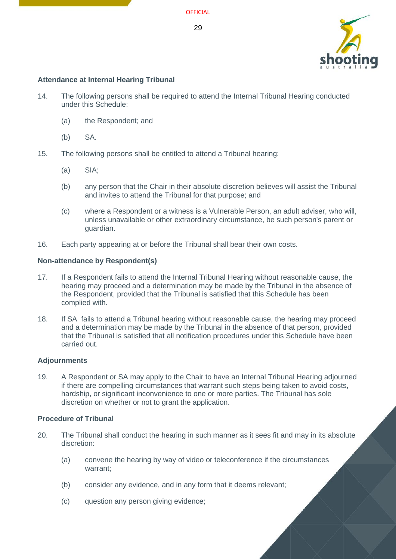

#### **Attendance at Internal Hearing Tribunal**

- 14. The following persons shall be required to attend the Internal Tribunal Hearing conducted under this Schedule:
	- (a) the Respondent; and
	- (b) SA.
- 15. The following persons shall be entitled to attend a Tribunal hearing:
	- (a) SIA;
	- (b) any person that the Chair in their absolute discretion believes will assist the Tribunal and invites to attend the Tribunal for that purpose; and
	- (c) where a Respondent or a witness is a Vulnerable Person, an adult adviser, who will, unless unavailable or other extraordinary circumstance, be such person's parent or guardian.
- 16. Each party appearing at or before the Tribunal shall bear their own costs.

#### **Non-attendance by Respondent(s)**

- 17. If a Respondent fails to attend the Internal Tribunal Hearing without reasonable cause, the hearing may proceed and a determination may be made by the Tribunal in the absence of the Respondent, provided that the Tribunal is satisfied that this Schedule has been complied with.
- 18. If SA fails to attend a Tribunal hearing without reasonable cause, the hearing may proceed and a determination may be made by the Tribunal in the absence of that person, provided that the Tribunal is satisfied that all notification procedures under this Schedule have been carried out.

#### **Adjournments**

19. A Respondent or SA may apply to the Chair to have an Internal Tribunal Hearing adjourned if there are compelling circumstances that warrant such steps being taken to avoid costs, hardship, or significant inconvenience to one or more parties. The Tribunal has sole discretion on whether or not to grant the application.

#### **Procedure of Tribunal**

- 20. The Tribunal shall conduct the hearing in such manner as it sees fit and may in its absolute discretion:
	- (a) convene the hearing by way of video or teleconference if the circumstances warrant;
	- (b) consider any evidence, and in any form that it deems relevant;
	- (c) question any person giving evidence;

**OFFICIAL**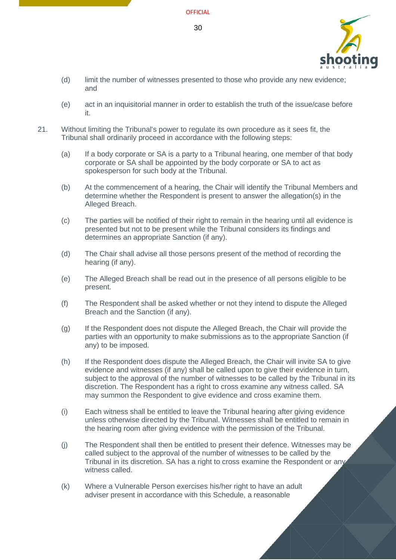

- (d) limit the number of witnesses presented to those who provide any new evidence; and
- (e) act in an inquisitorial manner in order to establish the truth of the issue/case before it.
- 21. Without limiting the Tribunal's power to regulate its own procedure as it sees fit, the Tribunal shall ordinarily proceed in accordance with the following steps:
	- (a) If a body corporate or SA is a party to a Tribunal hearing, one member of that body corporate or SA shall be appointed by the body corporate or SA to act as spokesperson for such body at the Tribunal.
	- (b) At the commencement of a hearing, the Chair will identify the Tribunal Members and determine whether the Respondent is present to answer the allegation(s) in the Alleged Breach.
	- (c) The parties will be notified of their right to remain in the hearing until all evidence is presented but not to be present while the Tribunal considers its findings and determines an appropriate Sanction (if any).
	- (d) The Chair shall advise all those persons present of the method of recording the hearing (if any).
	- (e) The Alleged Breach shall be read out in the presence of all persons eligible to be present.
	- (f) The Respondent shall be asked whether or not they intend to dispute the Alleged Breach and the Sanction (if any).
	- (g) If the Respondent does not dispute the Alleged Breach, the Chair will provide the parties with an opportunity to make submissions as to the appropriate Sanction (if any) to be imposed.
	- (h) If the Respondent does dispute the Alleged Breach, the Chair will invite SA to give evidence and witnesses (if any) shall be called upon to give their evidence in turn, subject to the approval of the number of witnesses to be called by the Tribunal in its discretion. The Respondent has a right to cross examine any witness called. SA may summon the Respondent to give evidence and cross examine them.
	- (i) Each witness shall be entitled to leave the Tribunal hearing after giving evidence unless otherwise directed by the Tribunal. Witnesses shall be entitled to remain in the hearing room after giving evidence with the permission of the Tribunal.
	- (j) The Respondent shall then be entitled to present their defence. Witnesses may be called subject to the approval of the number of witnesses to be called by the Tribunal in its discretion. SA has a right to cross examine the Respondent or any witness called.
	- (k) Where a Vulnerable Person exercises his/her right to have an adult adviser present in accordance with this Schedule, a reasonable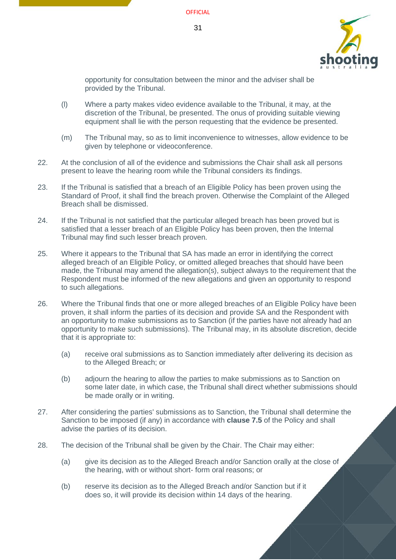

opportunity for consultation between the minor and the adviser shall be provided by the Tribunal.

- (l) Where a party makes video evidence available to the Tribunal, it may, at the discretion of the Tribunal, be presented. The onus of providing suitable viewing equipment shall lie with the person requesting that the evidence be presented.
- (m) The Tribunal may, so as to limit inconvenience to witnesses, allow evidence to be given by telephone or videoconference.
- 22. At the conclusion of all of the evidence and submissions the Chair shall ask all persons present to leave the hearing room while the Tribunal considers its findings.
- 23. If the Tribunal is satisfied that a breach of an Eligible Policy has been proven using the Standard of Proof, it shall find the breach proven. Otherwise the Complaint of the Alleged Breach shall be dismissed.
- 24. If the Tribunal is not satisfied that the particular alleged breach has been proved but is satisfied that a lesser breach of an Eligible Policy has been proven, then the Internal Tribunal may find such lesser breach proven.
- 25. Where it appears to the Tribunal that SA has made an error in identifying the correct alleged breach of an Eligible Policy, or omitted alleged breaches that should have been made, the Tribunal may amend the allegation(s), subject always to the requirement that the Respondent must be informed of the new allegations and given an opportunity to respond to such allegations.
- <span id="page-30-1"></span>26. Where the Tribunal finds that one or more alleged breaches of an Eligible Policy have been proven, it shall inform the parties of its decision and provide SA and the Respondent with an opportunity to make submissions as to Sanction (if the parties have not already had an opportunity to make such submissions). The Tribunal may, in its absolute discretion, decide that it is appropriate to:
	- (a) receive oral submissions as to Sanction immediately after delivering its decision as to the Alleged Breach; or
	- (b) adjourn the hearing to allow the parties to make submissions as to Sanction on some later date, in which case, the Tribunal shall direct whether submissions should be made orally or in writing.
- 27. After considering the parties' submissions as to Sanction, the Tribunal shall determine the Sanction to be imposed (if any) in accordance with **clause [7.5](#page-18-2)** of the Policy and shall advise the parties of its decision.
- <span id="page-30-0"></span>28. The decision of the Tribunal shall be given by the Chair. The Chair may either:
	- (a) give its decision as to the Alleged Breach and/or Sanction orally at the close of the hearing, with or without short- form oral reasons; or
	- (b) reserve its decision as to the Alleged Breach and/or Sanction but if it does so, it will provide its decision within 14 days of the hearing.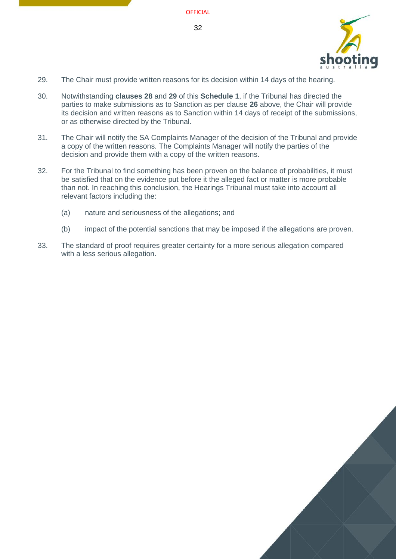

- <span id="page-31-0"></span>29. The Chair must provide written reasons for its decision within 14 days of the hearing.
- 30. Notwithstanding **clauses [28](#page-30-0)** and **[29](#page-31-0)** of this **Schedule 1**, if the Tribunal has directed the parties to make submissions as to Sanction as per clause **[26](#page-30-1)** above, the Chair will provide its decision and written reasons as to Sanction within 14 days of receipt of the submissions, or as otherwise directed by the Tribunal.
- 31. The Chair will notify the SA Complaints Manager of the decision of the Tribunal and provide a copy of the written reasons. The Complaints Manager will notify the parties of the decision and provide them with a copy of the written reasons.
- 32. For the Tribunal to find something has been proven on the balance of probabilities, it must be satisfied that on the evidence put before it the alleged fact or matter is more probable than not. In reaching this conclusion, the Hearings Tribunal must take into account all relevant factors including the:
	- (a) nature and seriousness of the allegations; and
	- (b) impact of the potential sanctions that may be imposed if the allegations are proven.
- 33. The standard of proof requires greater certainty for a more serious allegation compared with a less serious allegation.

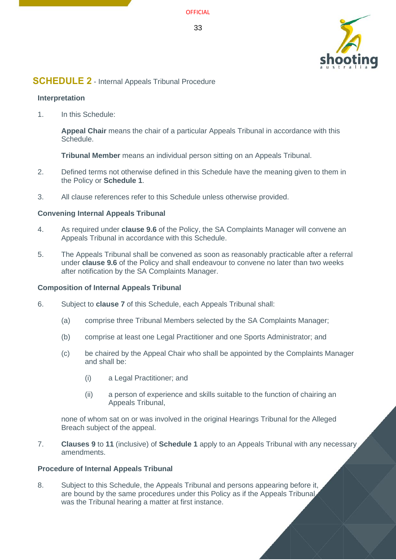

## <span id="page-32-1"></span>**SCHEDULE 2** - Internal Appeals Tribunal Procedure

#### <span id="page-32-0"></span>**Interpretation**

1. In this Schedule:

**Appeal Chair** means the chair of a particular Appeals Tribunal in accordance with this Schedule.

**Tribunal Member** means an individual person sitting on an Appeals Tribunal.

- 2. Defined terms not otherwise defined in this Schedule have the meaning given to them in the Policy or **Schedule 1**.
- 3. All clause references refer to this Schedule unless otherwise provided.

#### **Convening Internal Appeals Tribunal**

- 4. As required under **clause [9.6](#page-22-1)** of the Policy, the SA Complaints Manager will convene an Appeals Tribunal in accordance with this Schedule.
- 5. The Appeals Tribunal shall be convened as soon as reasonably practicable after a referral under **clause [9.6](#page-22-1)** of the Policy and shall endeavour to convene no later than two weeks after notification by the SA Complaints Manager.

#### **Composition of Internal Appeals Tribunal**

- 6. Subject to **clause [7](#page-32-2)** of this Schedule, each Appeals Tribunal shall:
	- (a) comprise three Tribunal Members selected by the SA Complaints Manager;
	- (b) comprise at least one Legal Practitioner and one Sports Administrator; and
	- (c) be chaired by the Appeal Chair who shall be appointed by the Complaints Manager and shall be:
		- (i) a Legal Practitioner; and
		- (ii) a person of experience and skills suitable to the function of chairing an Appeals Tribunal,

none of whom sat on or was involved in the original Hearings Tribunal for the Alleged Breach subject of the appeal.

<span id="page-32-2"></span>7. **Clauses [9](#page-27-0)** to **[11](#page-27-1)** (inclusive) of **Schedule 1** apply to an Appeals Tribunal with any necessary amendments.

#### **Procedure of Internal Appeals Tribunal**

8. Subject to this Schedule, the Appeals Tribunal and persons appearing before it, are bound by the same procedures under this Policy as if the Appeals Tribunal was the Tribunal hearing a matter at first instance.

33